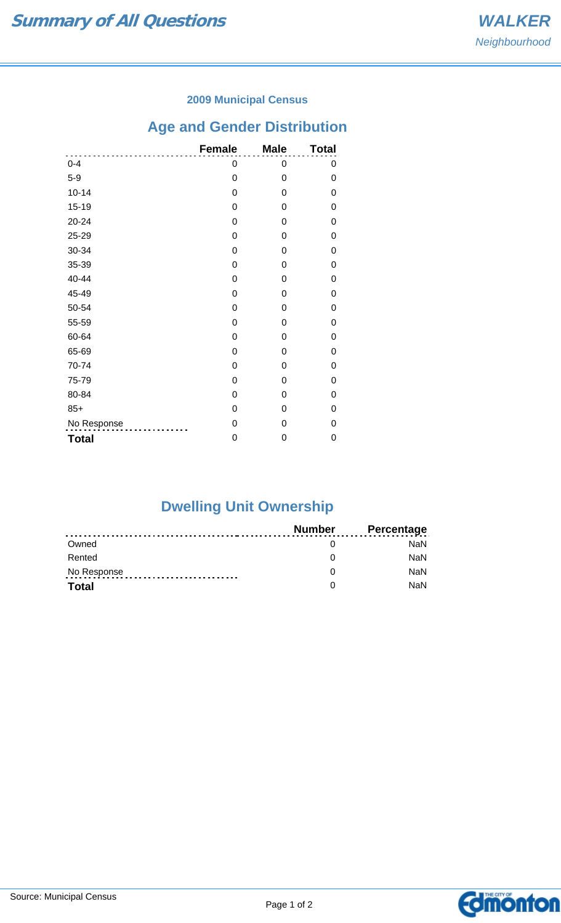### **2009 Municipal Census**

# **Age and Gender Distribution**

|              | <b>Female</b> | <b>Male</b>    | <b>Total</b> |
|--------------|---------------|----------------|--------------|
| $0 - 4$      | 0             | 0              | 0            |
| $5-9$        | $\mathbf 0$   | 0              | 0            |
| $10 - 14$    | $\mathbf 0$   | 0              | 0            |
| $15 - 19$    | $\mathbf 0$   | $\overline{0}$ | 0            |
| 20-24        | 0             | 0              | 0            |
| 25-29        | 0             | $\Omega$       | 0            |
| 30-34        | 0             | 0              | 0            |
| 35-39        | $\mathbf 0$   | $\Omega$       | 0            |
| 40-44        | $\mathbf 0$   | $\mathbf 0$    | 0            |
| 45-49        | 0             | 0              | 0            |
| 50-54        | 0             | 0              | 0            |
| 55-59        | $\mathbf 0$   | 0              | 0            |
| 60-64        | $\mathbf 0$   | $\overline{0}$ | $\Omega$     |
| 65-69        | $\mathbf 0$   | 0              | 0            |
| 70-74        | 0             | 0              | 0            |
| 75-79        | 0             | 0              | 0            |
| 80-84        | $\mathbf 0$   | $\Omega$       | 0            |
| $85+$        | 0             | 0              | 0            |
| No Response  | $\mathbf 0$   | 0              | 0            |
| <b>Total</b> | 0             | 0              | 0            |

# **Dwelling Unit Ownership**

|              | Number | <b>Percentage</b> |
|--------------|--------|-------------------|
| Owned        |        | NaN.              |
| Rented       |        | <b>NaN</b>        |
| No Response  |        | <b>NaN</b>        |
| <b>Total</b> |        | <b>NaN</b>        |